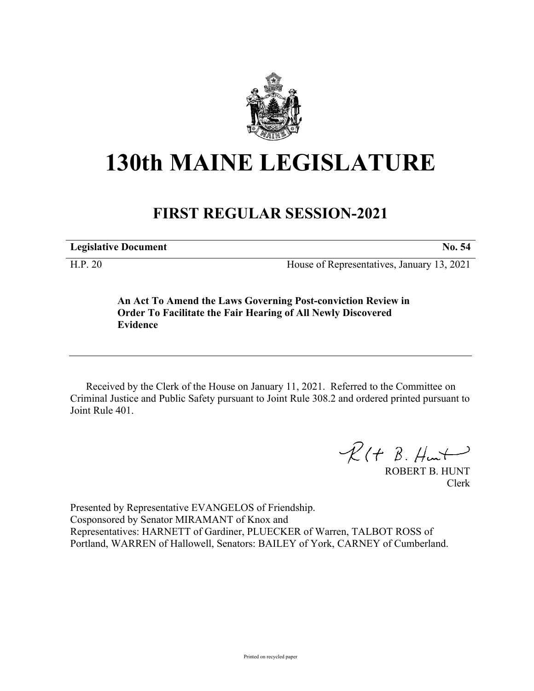

## **130th MAINE LEGISLATURE**

## **FIRST REGULAR SESSION-2021**

**Legislative Document No. 54**

H.P. 20 House of Representatives, January 13, 2021

**An Act To Amend the Laws Governing Post-conviction Review in Order To Facilitate the Fair Hearing of All Newly Discovered Evidence**

Received by the Clerk of the House on January 11, 2021. Referred to the Committee on Criminal Justice and Public Safety pursuant to Joint Rule 308.2 and ordered printed pursuant to Joint Rule 401.

 $R(t B. Hmt)$ 

ROBERT B. HUNT Clerk

Presented by Representative EVANGELOS of Friendship. Cosponsored by Senator MIRAMANT of Knox and Representatives: HARNETT of Gardiner, PLUECKER of Warren, TALBOT ROSS of Portland, WARREN of Hallowell, Senators: BAILEY of York, CARNEY of Cumberland.